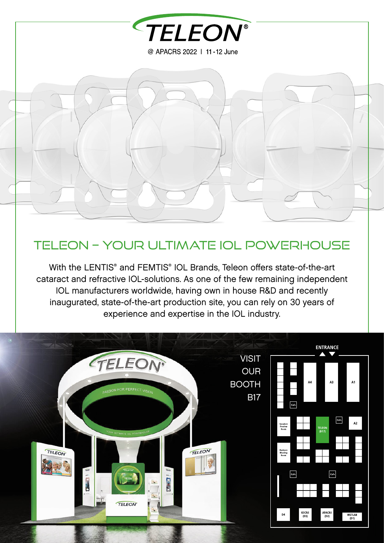

# Teleon – Your ultimate IOL Powerhouse

With the LENTIS® and FEMTIS® IOL Brands, Teleon offers state-of-the-art cataract and refractive IOL-solutions. As one of the few remaining independent IOL manufacturers worldwide, having own in house R&D and recently inaugurated, state-of-the-art production site, you can rely on 30 years of experience and expertise in the IOL industry.